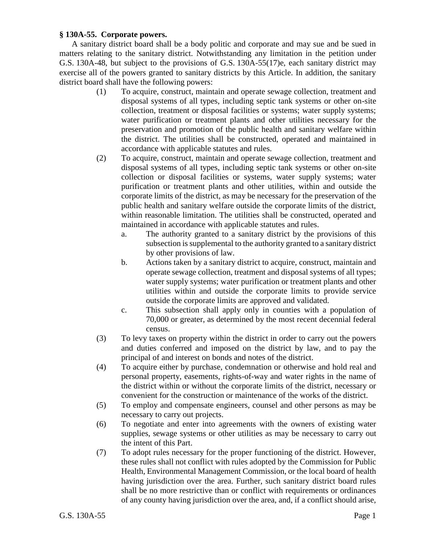## **§ 130A-55. Corporate powers.**

A sanitary district board shall be a body politic and corporate and may sue and be sued in matters relating to the sanitary district. Notwithstanding any limitation in the petition under G.S. 130A-48, but subject to the provisions of G.S. 130A-55(17)e, each sanitary district may exercise all of the powers granted to sanitary districts by this Article. In addition, the sanitary district board shall have the following powers:

- (1) To acquire, construct, maintain and operate sewage collection, treatment and disposal systems of all types, including septic tank systems or other on-site collection, treatment or disposal facilities or systems; water supply systems; water purification or treatment plants and other utilities necessary for the preservation and promotion of the public health and sanitary welfare within the district. The utilities shall be constructed, operated and maintained in accordance with applicable statutes and rules.
- (2) To acquire, construct, maintain and operate sewage collection, treatment and disposal systems of all types, including septic tank systems or other on-site collection or disposal facilities or systems, water supply systems; water purification or treatment plants and other utilities, within and outside the corporate limits of the district, as may be necessary for the preservation of the public health and sanitary welfare outside the corporate limits of the district, within reasonable limitation. The utilities shall be constructed, operated and maintained in accordance with applicable statutes and rules.
	- a. The authority granted to a sanitary district by the provisions of this subsection is supplemental to the authority granted to a sanitary district by other provisions of law.
	- b. Actions taken by a sanitary district to acquire, construct, maintain and operate sewage collection, treatment and disposal systems of all types; water supply systems; water purification or treatment plants and other utilities within and outside the corporate limits to provide service outside the corporate limits are approved and validated.
	- c. This subsection shall apply only in counties with a population of 70,000 or greater, as determined by the most recent decennial federal census.
- (3) To levy taxes on property within the district in order to carry out the powers and duties conferred and imposed on the district by law, and to pay the principal of and interest on bonds and notes of the district.
- (4) To acquire either by purchase, condemnation or otherwise and hold real and personal property, easements, rights-of-way and water rights in the name of the district within or without the corporate limits of the district, necessary or convenient for the construction or maintenance of the works of the district.
- (5) To employ and compensate engineers, counsel and other persons as may be necessary to carry out projects.
- (6) To negotiate and enter into agreements with the owners of existing water supplies, sewage systems or other utilities as may be necessary to carry out the intent of this Part.
- (7) To adopt rules necessary for the proper functioning of the district. However, these rules shall not conflict with rules adopted by the Commission for Public Health, Environmental Management Commission, or the local board of health having jurisdiction over the area. Further, such sanitary district board rules shall be no more restrictive than or conflict with requirements or ordinances of any county having jurisdiction over the area, and, if a conflict should arise,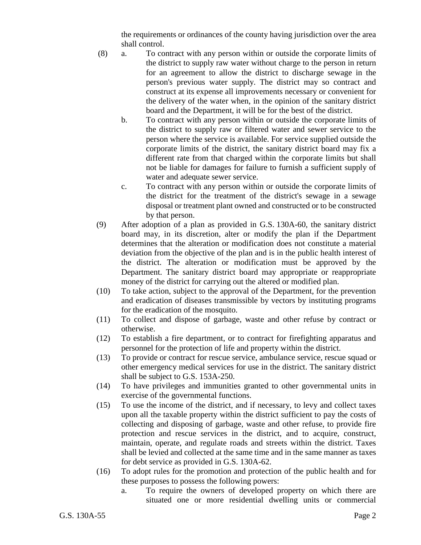the requirements or ordinances of the county having jurisdiction over the area shall control.

- (8) a. To contract with any person within or outside the corporate limits of the district to supply raw water without charge to the person in return for an agreement to allow the district to discharge sewage in the person's previous water supply. The district may so contract and construct at its expense all improvements necessary or convenient for the delivery of the water when, in the opinion of the sanitary district board and the Department, it will be for the best of the district.
	- b. To contract with any person within or outside the corporate limits of the district to supply raw or filtered water and sewer service to the person where the service is available. For service supplied outside the corporate limits of the district, the sanitary district board may fix a different rate from that charged within the corporate limits but shall not be liable for damages for failure to furnish a sufficient supply of water and adequate sewer service.
	- c. To contract with any person within or outside the corporate limits of the district for the treatment of the district's sewage in a sewage disposal or treatment plant owned and constructed or to be constructed by that person.
- (9) After adoption of a plan as provided in G.S. 130A-60, the sanitary district board may, in its discretion, alter or modify the plan if the Department determines that the alteration or modification does not constitute a material deviation from the objective of the plan and is in the public health interest of the district. The alteration or modification must be approved by the Department. The sanitary district board may appropriate or reappropriate money of the district for carrying out the altered or modified plan.
- (10) To take action, subject to the approval of the Department, for the prevention and eradication of diseases transmissible by vectors by instituting programs for the eradication of the mosquito.
- (11) To collect and dispose of garbage, waste and other refuse by contract or otherwise.
- (12) To establish a fire department, or to contract for firefighting apparatus and personnel for the protection of life and property within the district.
- (13) To provide or contract for rescue service, ambulance service, rescue squad or other emergency medical services for use in the district. The sanitary district shall be subject to G.S. 153A-250.
- (14) To have privileges and immunities granted to other governmental units in exercise of the governmental functions.
- (15) To use the income of the district, and if necessary, to levy and collect taxes upon all the taxable property within the district sufficient to pay the costs of collecting and disposing of garbage, waste and other refuse, to provide fire protection and rescue services in the district, and to acquire, construct, maintain, operate, and regulate roads and streets within the district. Taxes shall be levied and collected at the same time and in the same manner as taxes for debt service as provided in G.S. 130A-62.
- (16) To adopt rules for the promotion and protection of the public health and for these purposes to possess the following powers:
	- a. To require the owners of developed property on which there are situated one or more residential dwelling units or commercial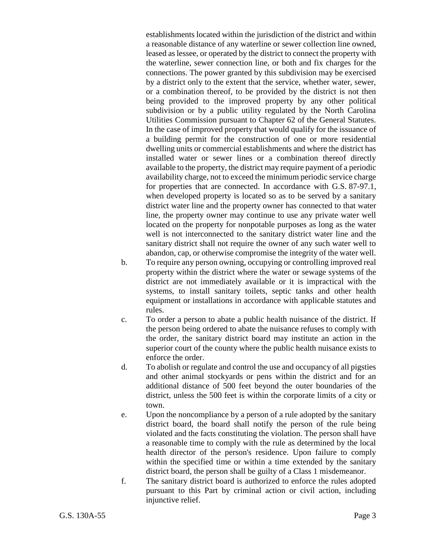establishments located within the jurisdiction of the district and within a reasonable distance of any waterline or sewer collection line owned, leased as lessee, or operated by the district to connect the property with the waterline, sewer connection line, or both and fix charges for the connections. The power granted by this subdivision may be exercised by a district only to the extent that the service, whether water, sewer, or a combination thereof, to be provided by the district is not then being provided to the improved property by any other political subdivision or by a public utility regulated by the North Carolina Utilities Commission pursuant to Chapter 62 of the General Statutes. In the case of improved property that would qualify for the issuance of a building permit for the construction of one or more residential dwelling units or commercial establishments and where the district has installed water or sewer lines or a combination thereof directly available to the property, the district may require payment of a periodic availability charge, not to exceed the minimum periodic service charge for properties that are connected. In accordance with G.S. 87-97.1, when developed property is located so as to be served by a sanitary district water line and the property owner has connected to that water line, the property owner may continue to use any private water well located on the property for nonpotable purposes as long as the water well is not interconnected to the sanitary district water line and the sanitary district shall not require the owner of any such water well to abandon, cap, or otherwise compromise the integrity of the water well.

- b. To require any person owning, occupying or controlling improved real property within the district where the water or sewage systems of the district are not immediately available or it is impractical with the systems, to install sanitary toilets, septic tanks and other health equipment or installations in accordance with applicable statutes and rules.
- c. To order a person to abate a public health nuisance of the district. If the person being ordered to abate the nuisance refuses to comply with the order, the sanitary district board may institute an action in the superior court of the county where the public health nuisance exists to enforce the order.
- d. To abolish or regulate and control the use and occupancy of all pigsties and other animal stockyards or pens within the district and for an additional distance of 500 feet beyond the outer boundaries of the district, unless the 500 feet is within the corporate limits of a city or town.
- e. Upon the noncompliance by a person of a rule adopted by the sanitary district board, the board shall notify the person of the rule being violated and the facts constituting the violation. The person shall have a reasonable time to comply with the rule as determined by the local health director of the person's residence. Upon failure to comply within the specified time or within a time extended by the sanitary district board, the person shall be guilty of a Class 1 misdemeanor.
- f. The sanitary district board is authorized to enforce the rules adopted pursuant to this Part by criminal action or civil action, including injunctive relief.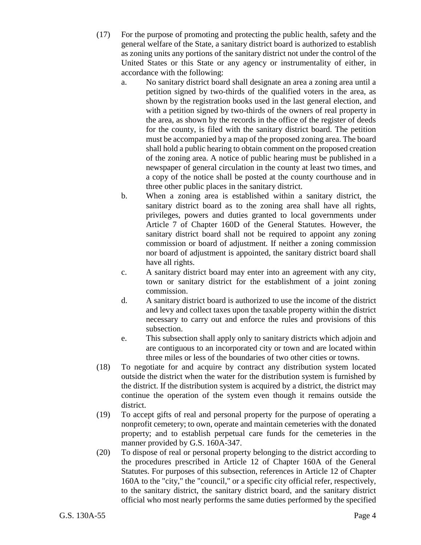- (17) For the purpose of promoting and protecting the public health, safety and the general welfare of the State, a sanitary district board is authorized to establish as zoning units any portions of the sanitary district not under the control of the United States or this State or any agency or instrumentality of either, in accordance with the following:
	- a. No sanitary district board shall designate an area a zoning area until a petition signed by two-thirds of the qualified voters in the area, as shown by the registration books used in the last general election, and with a petition signed by two-thirds of the owners of real property in the area, as shown by the records in the office of the register of deeds for the county, is filed with the sanitary district board. The petition must be accompanied by a map of the proposed zoning area. The board shall hold a public hearing to obtain comment on the proposed creation of the zoning area. A notice of public hearing must be published in a newspaper of general circulation in the county at least two times, and a copy of the notice shall be posted at the county courthouse and in three other public places in the sanitary district.
	- b. When a zoning area is established within a sanitary district, the sanitary district board as to the zoning area shall have all rights, privileges, powers and duties granted to local governments under Article 7 of Chapter 160D of the General Statutes. However, the sanitary district board shall not be required to appoint any zoning commission or board of adjustment. If neither a zoning commission nor board of adjustment is appointed, the sanitary district board shall have all rights.
	- c. A sanitary district board may enter into an agreement with any city, town or sanitary district for the establishment of a joint zoning commission.
	- d. A sanitary district board is authorized to use the income of the district and levy and collect taxes upon the taxable property within the district necessary to carry out and enforce the rules and provisions of this subsection.
	- e. This subsection shall apply only to sanitary districts which adjoin and are contiguous to an incorporated city or town and are located within three miles or less of the boundaries of two other cities or towns.
- (18) To negotiate for and acquire by contract any distribution system located outside the district when the water for the distribution system is furnished by the district. If the distribution system is acquired by a district, the district may continue the operation of the system even though it remains outside the district.
- (19) To accept gifts of real and personal property for the purpose of operating a nonprofit cemetery; to own, operate and maintain cemeteries with the donated property; and to establish perpetual care funds for the cemeteries in the manner provided by G.S. 160A-347.
- (20) To dispose of real or personal property belonging to the district according to the procedures prescribed in Article 12 of Chapter 160A of the General Statutes. For purposes of this subsection, references in Article 12 of Chapter 160A to the "city," the "council," or a specific city official refer, respectively, to the sanitary district, the sanitary district board, and the sanitary district official who most nearly performs the same duties performed by the specified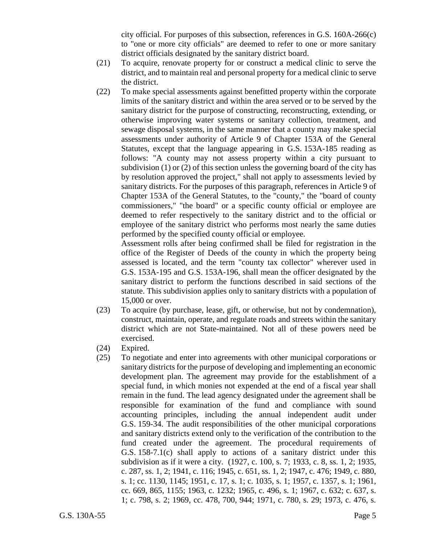city official. For purposes of this subsection, references in G.S. 160A-266(c) to "one or more city officials" are deemed to refer to one or more sanitary district officials designated by the sanitary district board.

- (21) To acquire, renovate property for or construct a medical clinic to serve the district, and to maintain real and personal property for a medical clinic to serve the district.
- (22) To make special assessments against benefitted property within the corporate limits of the sanitary district and within the area served or to be served by the sanitary district for the purpose of constructing, reconstructing, extending, or otherwise improving water systems or sanitary collection, treatment, and sewage disposal systems, in the same manner that a county may make special assessments under authority of Article 9 of Chapter 153A of the General Statutes, except that the language appearing in G.S. 153A-185 reading as follows: "A county may not assess property within a city pursuant to subdivision (1) or (2) of this section unless the governing board of the city has by resolution approved the project," shall not apply to assessments levied by sanitary districts. For the purposes of this paragraph, references in Article 9 of Chapter 153A of the General Statutes, to the "county," the "board of county commissioners," "the board" or a specific county official or employee are deemed to refer respectively to the sanitary district and to the official or employee of the sanitary district who performs most nearly the same duties performed by the specified county official or employee.

Assessment rolls after being confirmed shall be filed for registration in the office of the Register of Deeds of the county in which the property being assessed is located, and the term "county tax collector" wherever used in G.S. 153A-195 and G.S. 153A-196, shall mean the officer designated by the sanitary district to perform the functions described in said sections of the statute. This subdivision applies only to sanitary districts with a population of 15,000 or over.

- (23) To acquire (by purchase, lease, gift, or otherwise, but not by condemnation), construct, maintain, operate, and regulate roads and streets within the sanitary district which are not State-maintained. Not all of these powers need be exercised.
- (24) Expired.
- (25) To negotiate and enter into agreements with other municipal corporations or sanitary districts for the purpose of developing and implementing an economic development plan. The agreement may provide for the establishment of a special fund, in which monies not expended at the end of a fiscal year shall remain in the fund. The lead agency designated under the agreement shall be responsible for examination of the fund and compliance with sound accounting principles, including the annual independent audit under G.S. 159-34. The audit responsibilities of the other municipal corporations and sanitary districts extend only to the verification of the contribution to the fund created under the agreement. The procedural requirements of G.S. 158-7.1(c) shall apply to actions of a sanitary district under this subdivision as if it were a city. (1927, c. 100, s. 7; 1933, c. 8, ss. 1, 2; 1935, c. 287, ss. 1, 2; 1941, c. 116; 1945, c. 651, ss. 1, 2; 1947, c. 476; 1949, c. 880, s. 1; cc. 1130, 1145; 1951, c. 17, s. 1; c. 1035, s. 1; 1957, c. 1357, s. 1; 1961, cc. 669, 865, 1155; 1963, c. 1232; 1965, c. 496, s. 1; 1967, c. 632; c. 637, s. 1; c. 798, s. 2; 1969, cc. 478, 700, 944; 1971, c. 780, s. 29; 1973, c. 476, s.